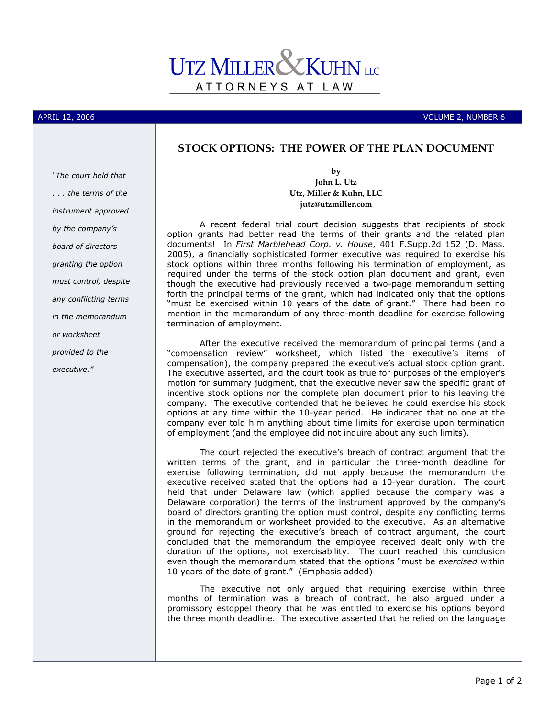## ATTORNEYS AT LAW

APRIL 12, 2006 VOLUME 2, NUMBER 6

## STOCK OPTIONS: THE POWER OF THE PLAN DOCUMENT

"The court held that . . . the terms of the instrument approved by the company's board of directors granting the option must control, despite any conflicting terms in the memorandum or worksheet provided to the executive."

by John L. Utz Utz, Miller & Kuhn, LLC jutz@utzmiller.com

A recent federal trial court decision suggests that recipients of stock option grants had better read the terms of their grants and the related plan documents! In First Marblehead Corp. v. House, 401 F.Supp.2d 152 (D. Mass. 2005), a financially sophisticated former executive was required to exercise his stock options within three months following his termination of employment, as required under the terms of the stock option plan document and grant, even though the executive had previously received a two-page memorandum setting forth the principal terms of the grant, which had indicated only that the options "must be exercised within 10 years of the date of grant." There had been no mention in the memorandum of any three-month deadline for exercise following termination of employment.

After the executive received the memorandum of principal terms (and a "compensation review" worksheet, which listed the executive's items of compensation), the company prepared the executive's actual stock option grant. The executive asserted, and the court took as true for purposes of the employer's motion for summary judgment, that the executive never saw the specific grant of incentive stock options nor the complete plan document prior to his leaving the company. The executive contended that he believed he could exercise his stock options at any time within the 10-year period. He indicated that no one at the company ever told him anything about time limits for exercise upon termination of employment (and the employee did not inquire about any such limits).

The court rejected the executive's breach of contract argument that the written terms of the grant, and in particular the three-month deadline for exercise following termination, did not apply because the memorandum the executive received stated that the options had a 10-year duration. The court held that under Delaware law (which applied because the company was a Delaware corporation) the terms of the instrument approved by the company's board of directors granting the option must control, despite any conflicting terms in the memorandum or worksheet provided to the executive. As an alternative ground for rejecting the executive's breach of contract argument, the court concluded that the memorandum the employee received dealt only with the duration of the options, not exercisability. The court reached this conclusion even though the memorandum stated that the options "must be exercised within 10 years of the date of grant." (Emphasis added)

The executive not only argued that requiring exercise within three months of termination was a breach of contract, he also argued under a promissory estoppel theory that he was entitled to exercise his options beyond the three month deadline. The executive asserted that he relied on the language